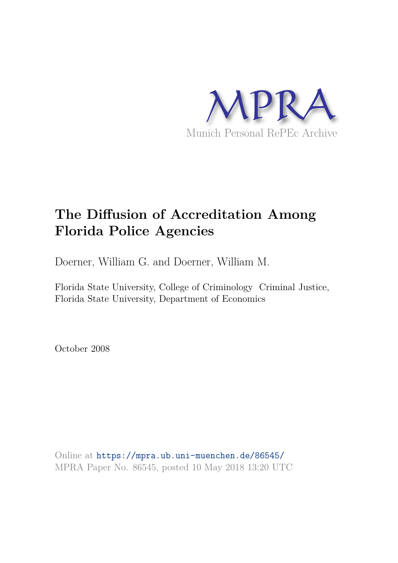

# **The Diffusion of Accreditation Among Florida Police Agencies**

Doerner, William G. and Doerner, William M.

Florida State University, College of Criminology Criminal Justice, Florida State University, Department of Economics

October 2008

Online at https://mpra.ub.uni-muenchen.de/86545/ MPRA Paper No. 86545, posted 10 May 2018 13:20 UTC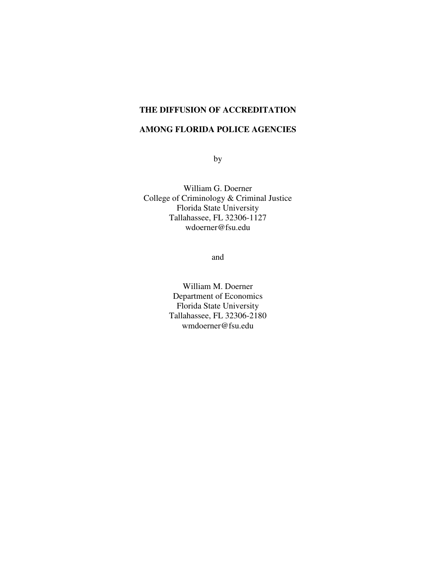# **THE DIFFUSION OF ACCREDITATION**

### **AMONG FLORIDA POLICE AGENCIES**

by

William G. Doerner College of Criminology & Criminal Justice Florida State University Tallahassee, FL 32306-1127 wdoerner@fsu.edu

and

William M. Doerner Department of Economics Florida State University Tallahassee, FL 32306-2180 wmdoerner@fsu.edu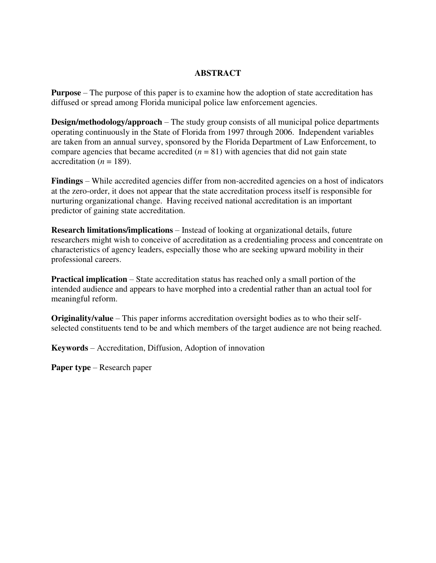#### **ABSTRACT**

**Purpose** – The purpose of this paper is to examine how the adoption of state accreditation has diffused or spread among Florida municipal police law enforcement agencies.

**Design/methodology/approach** – The study group consists of all municipal police departments operating continuously in the State of Florida from 1997 through 2006. Independent variables are taken from an annual survey, sponsored by the Florida Department of Law Enforcement, to compare agencies that became accredited  $(n = 81)$  with agencies that did not gain state accreditation ( $n = 189$ ).

**Findings** – While accredited agencies differ from non-accredited agencies on a host of indicators at the zero-order, it does not appear that the state accreditation process itself is responsible for nurturing organizational change. Having received national accreditation is an important predictor of gaining state accreditation.

**Research limitations/implications** – Instead of looking at organizational details, future researchers might wish to conceive of accreditation as a credentialing process and concentrate on characteristics of agency leaders, especially those who are seeking upward mobility in their professional careers.

**Practical implication** – State accreditation status has reached only a small portion of the intended audience and appears to have morphed into a credential rather than an actual tool for meaningful reform.

**Originality/value** – This paper informs accreditation oversight bodies as to who their selfselected constituents tend to be and which members of the target audience are not being reached.

**Keywords** – Accreditation, Diffusion, Adoption of innovation

**Paper type** – Research paper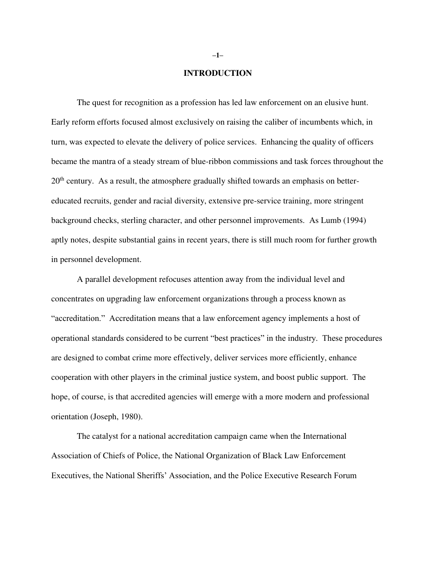#### **INTRODUCTION**

 The quest for recognition as a profession has led law enforcement on an elusive hunt. Early reform efforts focused almost exclusively on raising the caliber of incumbents which, in turn, was expected to elevate the delivery of police services. Enhancing the quality of officers became the mantra of a steady stream of blue-ribbon commissions and task forces throughout the  $20<sup>th</sup>$  century. As a result, the atmosphere gradually shifted towards an emphasis on bettereducated recruits, gender and racial diversity, extensive pre-service training, more stringent background checks, sterling character, and other personnel improvements. As Lumb (1994) aptly notes, despite substantial gains in recent years, there is still much room for further growth in personnel development.

 A parallel development refocuses attention away from the individual level and concentrates on upgrading law enforcement organizations through a process known as "accreditation." Accreditation means that a law enforcement agency implements a host of operational standards considered to be current "best practices" in the industry. These procedures are designed to combat crime more effectively, deliver services more efficiently, enhance cooperation with other players in the criminal justice system, and boost public support. The hope, of course, is that accredited agencies will emerge with a more modern and professional orientation (Joseph, 1980).

 The catalyst for a national accreditation campaign came when the International Association of Chiefs of Police, the National Organization of Black Law Enforcement Executives, the National Sheriffs' Association, and the Police Executive Research Forum

**–1–**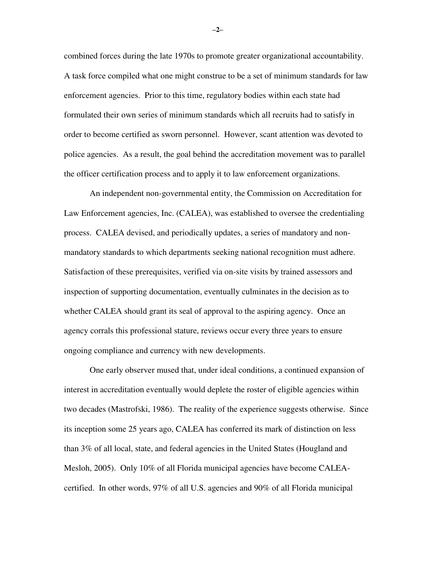combined forces during the late 1970s to promote greater organizational accountability. A task force compiled what one might construe to be a set of minimum standards for law enforcement agencies. Prior to this time, regulatory bodies within each state had formulated their own series of minimum standards which all recruits had to satisfy in order to become certified as sworn personnel. However, scant attention was devoted to police agencies. As a result, the goal behind the accreditation movement was to parallel the officer certification process and to apply it to law enforcement organizations.

 An independent non-governmental entity, the Commission on Accreditation for Law Enforcement agencies, Inc. (CALEA), was established to oversee the credentialing process. CALEA devised, and periodically updates, a series of mandatory and nonmandatory standards to which departments seeking national recognition must adhere. Satisfaction of these prerequisites, verified via on-site visits by trained assessors and inspection of supporting documentation, eventually culminates in the decision as to whether CALEA should grant its seal of approval to the aspiring agency. Once an agency corrals this professional stature, reviews occur every three years to ensure ongoing compliance and currency with new developments.

 One early observer mused that, under ideal conditions, a continued expansion of interest in accreditation eventually would deplete the roster of eligible agencies within two decades (Mastrofski, 1986). The reality of the experience suggests otherwise. Since its inception some 25 years ago, CALEA has conferred its mark of distinction on less than 3% of all local, state, and federal agencies in the United States (Hougland and Mesloh, 2005). Only 10% of all Florida municipal agencies have become CALEAcertified. In other words, 97% of all U.S. agencies and 90% of all Florida municipal

**–2–**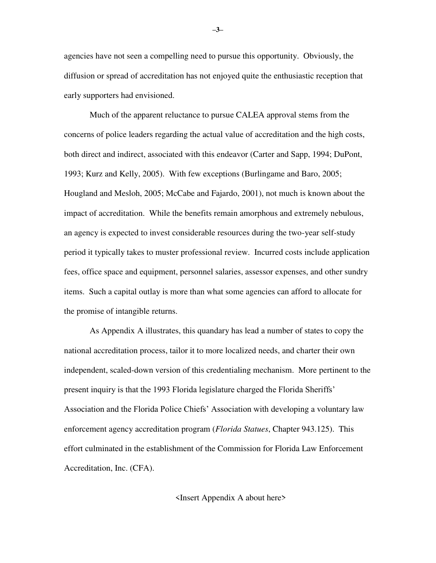agencies have not seen a compelling need to pursue this opportunity. Obviously, the diffusion or spread of accreditation has not enjoyed quite the enthusiastic reception that early supporters had envisioned.

 Much of the apparent reluctance to pursue CALEA approval stems from the concerns of police leaders regarding the actual value of accreditation and the high costs, both direct and indirect, associated with this endeavor (Carter and Sapp, 1994; DuPont, 1993; Kurz and Kelly, 2005). With few exceptions (Burlingame and Baro, 2005; Hougland and Mesloh, 2005; McCabe and Fajardo, 2001), not much is known about the impact of accreditation. While the benefits remain amorphous and extremely nebulous, an agency is expected to invest considerable resources during the two-year self-study period it typically takes to muster professional review. Incurred costs include application fees, office space and equipment, personnel salaries, assessor expenses, and other sundry items. Such a capital outlay is more than what some agencies can afford to allocate for the promise of intangible returns.

 As Appendix A illustrates, this quandary has lead a number of states to copy the national accreditation process, tailor it to more localized needs, and charter their own independent, scaled-down version of this credentialing mechanism. More pertinent to the present inquiry is that the 1993 Florida legislature charged the Florida Sheriffs' Association and the Florida Police Chiefs' Association with developing a voluntary law enforcement agency accreditation program (*Florida Statues*, Chapter 943.125). This effort culminated in the establishment of the Commission for Florida Law Enforcement Accreditation, Inc. (CFA).

<Insert Appendix A about here>

**–3–**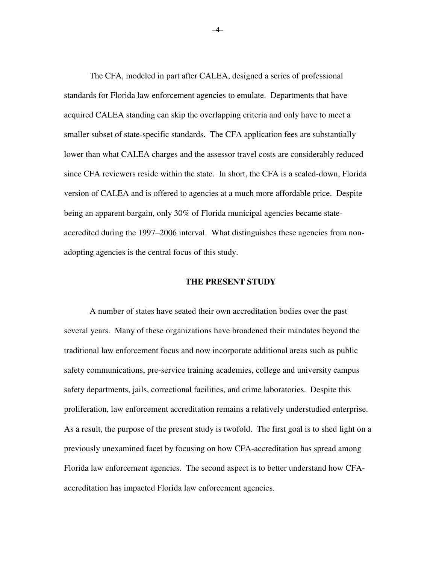The CFA, modeled in part after CALEA, designed a series of professional standards for Florida law enforcement agencies to emulate. Departments that have acquired CALEA standing can skip the overlapping criteria and only have to meet a smaller subset of state-specific standards. The CFA application fees are substantially lower than what CALEA charges and the assessor travel costs are considerably reduced since CFA reviewers reside within the state. In short, the CFA is a scaled-down, Florida version of CALEA and is offered to agencies at a much more affordable price. Despite being an apparent bargain, only 30% of Florida municipal agencies became stateaccredited during the 1997–2006 interval. What distinguishes these agencies from nonadopting agencies is the central focus of this study.

#### **THE PRESENT STUDY**

 A number of states have seated their own accreditation bodies over the past several years. Many of these organizations have broadened their mandates beyond the traditional law enforcement focus and now incorporate additional areas such as public safety communications, pre-service training academies, college and university campus safety departments, jails, correctional facilities, and crime laboratories. Despite this proliferation, law enforcement accreditation remains a relatively understudied enterprise. As a result, the purpose of the present study is twofold. The first goal is to shed light on a previously unexamined facet by focusing on how CFA-accreditation has spread among Florida law enforcement agencies. The second aspect is to better understand how CFAaccreditation has impacted Florida law enforcement agencies.

**–4–**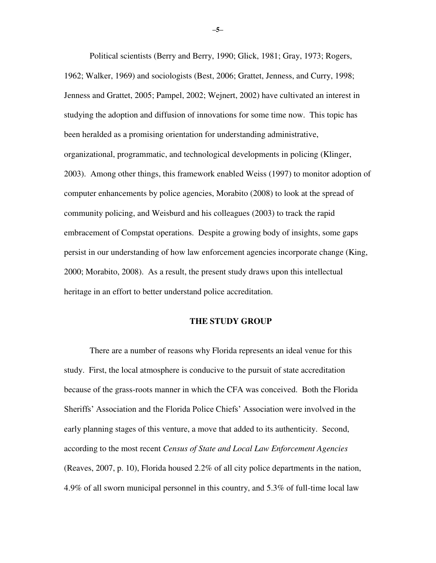Political scientists (Berry and Berry, 1990; Glick, 1981; Gray, 1973; Rogers, 1962; Walker, 1969) and sociologists (Best, 2006; Grattet, Jenness, and Curry, 1998; Jenness and Grattet, 2005; Pampel, 2002; Wejnert, 2002) have cultivated an interest in studying the adoption and diffusion of innovations for some time now. This topic has been heralded as a promising orientation for understanding administrative, organizational, programmatic, and technological developments in policing (Klinger, 2003). Among other things, this framework enabled Weiss (1997) to monitor adoption of computer enhancements by police agencies, Morabito (2008) to look at the spread of community policing, and Weisburd and his colleagues (2003) to track the rapid embracement of Compstat operations. Despite a growing body of insights, some gaps persist in our understanding of how law enforcement agencies incorporate change (King, 2000; Morabito, 2008). As a result, the present study draws upon this intellectual heritage in an effort to better understand police accreditation.

#### **THE STUDY GROUP**

 There are a number of reasons why Florida represents an ideal venue for this study. First, the local atmosphere is conducive to the pursuit of state accreditation because of the grass-roots manner in which the CFA was conceived. Both the Florida Sheriffs' Association and the Florida Police Chiefs' Association were involved in the early planning stages of this venture, a move that added to its authenticity. Second, according to the most recent *Census of State and Local Law Enforcement Agencies* (Reaves, 2007, p. 10), Florida housed 2.2% of all city police departments in the nation, 4.9% of all sworn municipal personnel in this country, and 5.3% of full-time local law

**–5–**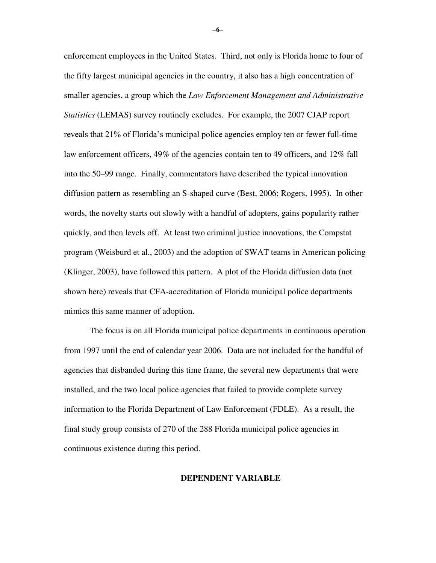enforcement employees in the United States. Third, not only is Florida home to four of the fifty largest municipal agencies in the country, it also has a high concentration of smaller agencies, a group which the *Law Enforcement Management and Administrative Statistics* (LEMAS) survey routinely excludes. For example, the 2007 CJAP report reveals that 21% of Florida's municipal police agencies employ ten or fewer full-time law enforcement officers, 49% of the agencies contain ten to 49 officers, and 12% fall into the 50–99 range. Finally, commentators have described the typical innovation diffusion pattern as resembling an S-shaped curve (Best, 2006; Rogers, 1995). In other words, the novelty starts out slowly with a handful of adopters, gains popularity rather quickly, and then levels off. At least two criminal justice innovations, the Compstat program (Weisburd et al., 2003) and the adoption of SWAT teams in American policing (Klinger, 2003), have followed this pattern. A plot of the Florida diffusion data (not shown here) reveals that CFA-accreditation of Florida municipal police departments mimics this same manner of adoption.

The focus is on all Florida municipal police departments in continuous operation from 1997 until the end of calendar year 2006. Data are not included for the handful of agencies that disbanded during this time frame, the several new departments that were installed, and the two local police agencies that failed to provide complete survey information to the Florida Department of Law Enforcement (FDLE). As a result, the final study group consists of 270 of the 288 Florida municipal police agencies in continuous existence during this period.

#### **DEPENDENT VARIABLE**

**–6–**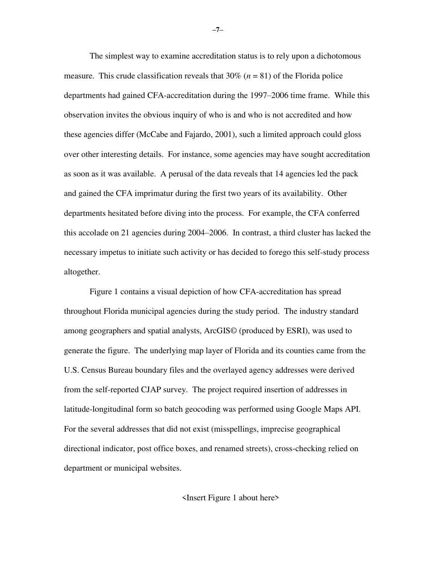The simplest way to examine accreditation status is to rely upon a dichotomous measure. This crude classification reveals that 30% (*n* = 81) of the Florida police departments had gained CFA-accreditation during the 1997–2006 time frame. While this observation invites the obvious inquiry of who is and who is not accredited and how these agencies differ (McCabe and Fajardo, 2001), such a limited approach could gloss over other interesting details. For instance, some agencies may have sought accreditation as soon as it was available. A perusal of the data reveals that 14 agencies led the pack and gained the CFA imprimatur during the first two years of its availability. Other departments hesitated before diving into the process. For example, the CFA conferred this accolade on 21 agencies during 2004–2006. In contrast, a third cluster has lacked the necessary impetus to initiate such activity or has decided to forego this self-study process altogether.

Figure 1 contains a visual depiction of how CFA-accreditation has spread throughout Florida municipal agencies during the study period. The industry standard among geographers and spatial analysts, ArcGIS© (produced by ESRI), was used to generate the figure. The underlying map layer of Florida and its counties came from the U.S. Census Bureau boundary files and the overlayed agency addresses were derived from the self-reported CJAP survey. The project required insertion of addresses in latitude-longitudinal form so batch geocoding was performed using Google Maps API. For the several addresses that did not exist (misspellings, imprecise geographical directional indicator, post office boxes, and renamed streets), cross-checking relied on department or municipal websites.

<Insert Figure 1 about here>

**–7–**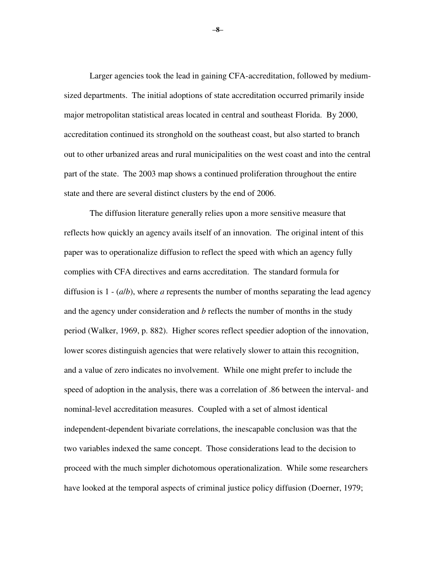Larger agencies took the lead in gaining CFA-accreditation, followed by mediumsized departments. The initial adoptions of state accreditation occurred primarily inside major metropolitan statistical areas located in central and southeast Florida. By 2000, accreditation continued its stronghold on the southeast coast, but also started to branch out to other urbanized areas and rural municipalities on the west coast and into the central part of the state. The 2003 map shows a continued proliferation throughout the entire state and there are several distinct clusters by the end of 2006.

 The diffusion literature generally relies upon a more sensitive measure that reflects how quickly an agency avails itself of an innovation. The original intent of this paper was to operationalize diffusion to reflect the speed with which an agency fully complies with CFA directives and earns accreditation. The standard formula for diffusion is  $1 - (a/b)$ , where *a* represents the number of months separating the lead agency and the agency under consideration and *b* reflects the number of months in the study period (Walker, 1969, p. 882). Higher scores reflect speedier adoption of the innovation, lower scores distinguish agencies that were relatively slower to attain this recognition, and a value of zero indicates no involvement. While one might prefer to include the speed of adoption in the analysis, there was a correlation of .86 between the interval- and nominal-level accreditation measures. Coupled with a set of almost identical independent-dependent bivariate correlations, the inescapable conclusion was that the two variables indexed the same concept. Those considerations lead to the decision to proceed with the much simpler dichotomous operationalization. While some researchers have looked at the temporal aspects of criminal justice policy diffusion (Doerner, 1979;

**–8–**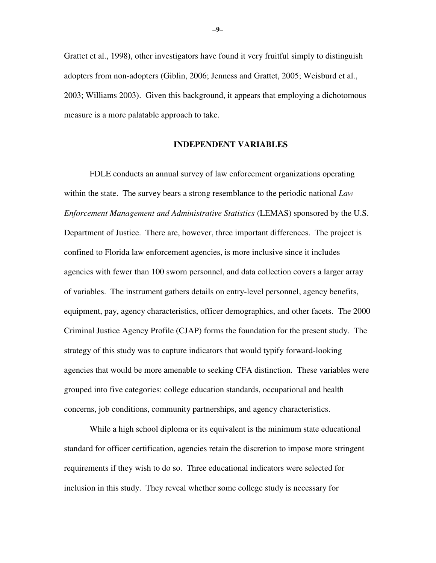Grattet et al., 1998), other investigators have found it very fruitful simply to distinguish adopters from non-adopters (Giblin, 2006; Jenness and Grattet, 2005; Weisburd et al., 2003; Williams 2003). Given this background, it appears that employing a dichotomous measure is a more palatable approach to take.

#### **INDEPENDENT VARIABLES**

 FDLE conducts an annual survey of law enforcement organizations operating within the state. The survey bears a strong resemblance to the periodic national *Law Enforcement Management and Administrative Statistics* (LEMAS) sponsored by the U.S. Department of Justice. There are, however, three important differences. The project is confined to Florida law enforcement agencies, is more inclusive since it includes agencies with fewer than 100 sworn personnel, and data collection covers a larger array of variables. The instrument gathers details on entry-level personnel, agency benefits, equipment, pay, agency characteristics, officer demographics, and other facets. The 2000 Criminal Justice Agency Profile (CJAP) forms the foundation for the present study. The strategy of this study was to capture indicators that would typify forward-looking agencies that would be more amenable to seeking CFA distinction. These variables were grouped into five categories: college education standards, occupational and health concerns, job conditions, community partnerships, and agency characteristics.

 While a high school diploma or its equivalent is the minimum state educational standard for officer certification, agencies retain the discretion to impose more stringent requirements if they wish to do so. Three educational indicators were selected for inclusion in this study. They reveal whether some college study is necessary for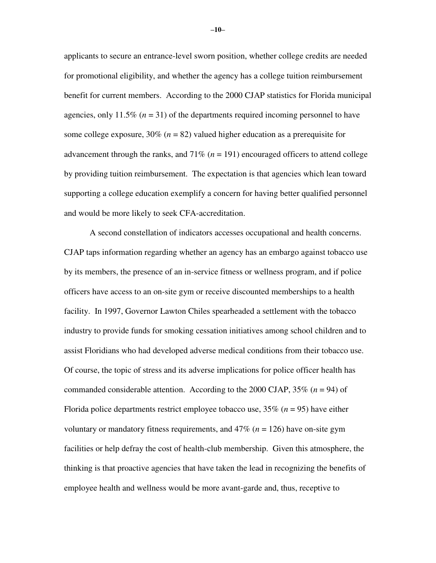applicants to secure an entrance-level sworn position, whether college credits are needed for promotional eligibility, and whether the agency has a college tuition reimbursement benefit for current members. According to the 2000 CJAP statistics for Florida municipal agencies, only 11.5% (*n* = 31) of the departments required incoming personnel to have some college exposure,  $30\%$  ( $n = 82$ ) valued higher education as a prerequisite for advancement through the ranks, and  $71\%$  ( $n = 191$ ) encouraged officers to attend college by providing tuition reimbursement. The expectation is that agencies which lean toward supporting a college education exemplify a concern for having better qualified personnel and would be more likely to seek CFA-accreditation.

 A second constellation of indicators accesses occupational and health concerns. CJAP taps information regarding whether an agency has an embargo against tobacco use by its members, the presence of an in-service fitness or wellness program, and if police officers have access to an on-site gym or receive discounted memberships to a health facility. In 1997, Governor Lawton Chiles spearheaded a settlement with the tobacco industry to provide funds for smoking cessation initiatives among school children and to assist Floridians who had developed adverse medical conditions from their tobacco use. Of course, the topic of stress and its adverse implications for police officer health has commanded considerable attention. According to the 2000 CJAP, 35% (*n* = 94) of Florida police departments restrict employee tobacco use,  $35\%$  ( $n = 95$ ) have either voluntary or mandatory fitness requirements, and 47% (*n* = 126) have on-site gym facilities or help defray the cost of health-club membership. Given this atmosphere, the thinking is that proactive agencies that have taken the lead in recognizing the benefits of employee health and wellness would be more avant-garde and, thus, receptive to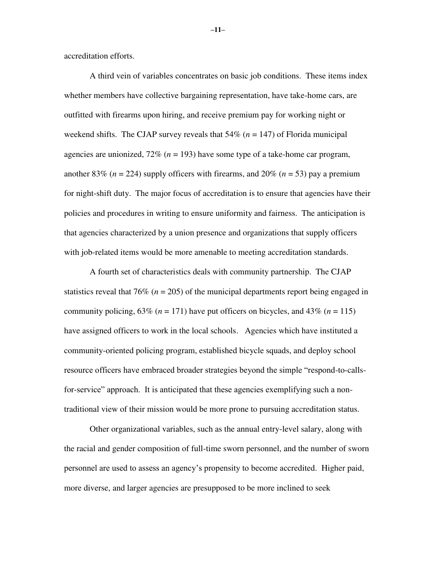accreditation efforts.

 A third vein of variables concentrates on basic job conditions. These items index whether members have collective bargaining representation, have take-home cars, are outfitted with firearms upon hiring, and receive premium pay for working night or weekend shifts. The CJAP survey reveals that  $54\%$  ( $n = 147$ ) of Florida municipal agencies are unionized, 72% (*n* = 193) have some type of a take-home car program, another 83% ( $n = 224$ ) supply officers with firearms, and 20% ( $n = 53$ ) pay a premium for night-shift duty. The major focus of accreditation is to ensure that agencies have their policies and procedures in writing to ensure uniformity and fairness. The anticipation is that agencies characterized by a union presence and organizations that supply officers with job-related items would be more amenable to meeting accreditation standards.

 A fourth set of characteristics deals with community partnership. The CJAP statistics reveal that 76% ( $n = 205$ ) of the municipal departments report being engaged in community policing,  $63\%$  ( $n = 171$ ) have put officers on bicycles, and  $43\%$  ( $n = 115$ ) have assigned officers to work in the local schools. Agencies which have instituted a community-oriented policing program, established bicycle squads, and deploy school resource officers have embraced broader strategies beyond the simple "respond-to-callsfor-service" approach. It is anticipated that these agencies exemplifying such a nontraditional view of their mission would be more prone to pursuing accreditation status.

 Other organizational variables, such as the annual entry-level salary, along with the racial and gender composition of full-time sworn personnel, and the number of sworn personnel are used to assess an agency's propensity to become accredited. Higher paid, more diverse, and larger agencies are presupposed to be more inclined to seek

**–11–**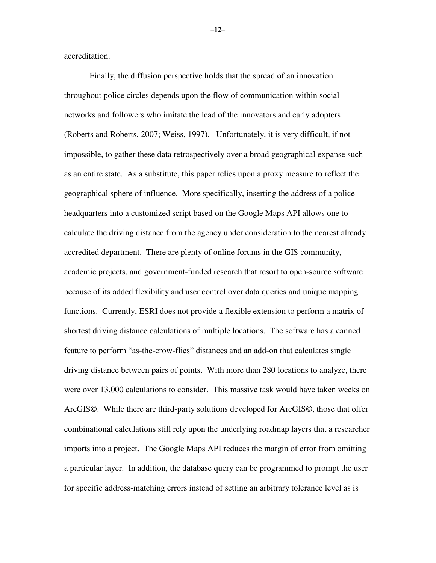accreditation.

 Finally, the diffusion perspective holds that the spread of an innovation throughout police circles depends upon the flow of communication within social networks and followers who imitate the lead of the innovators and early adopters (Roberts and Roberts, 2007; Weiss, 1997). Unfortunately, it is very difficult, if not impossible, to gather these data retrospectively over a broad geographical expanse such as an entire state. As a substitute, this paper relies upon a proxy measure to reflect the geographical sphere of influence. More specifically, inserting the address of a police headquarters into a customized script based on the Google Maps API allows one to calculate the driving distance from the agency under consideration to the nearest already accredited department. There are plenty of online forums in the GIS community, academic projects, and government-funded research that resort to open-source software because of its added flexibility and user control over data queries and unique mapping functions. Currently, ESRI does not provide a flexible extension to perform a matrix of shortest driving distance calculations of multiple locations. The software has a canned feature to perform "as-the-crow-flies" distances and an add-on that calculates single driving distance between pairs of points. With more than 280 locations to analyze, there were over 13,000 calculations to consider. This massive task would have taken weeks on ArcGIS©. While there are third-party solutions developed for ArcGIS©, those that offer combinational calculations still rely upon the underlying roadmap layers that a researcher imports into a project. The Google Maps API reduces the margin of error from omitting a particular layer. In addition, the database query can be programmed to prompt the user for specific address-matching errors instead of setting an arbitrary tolerance level as is

**–12–**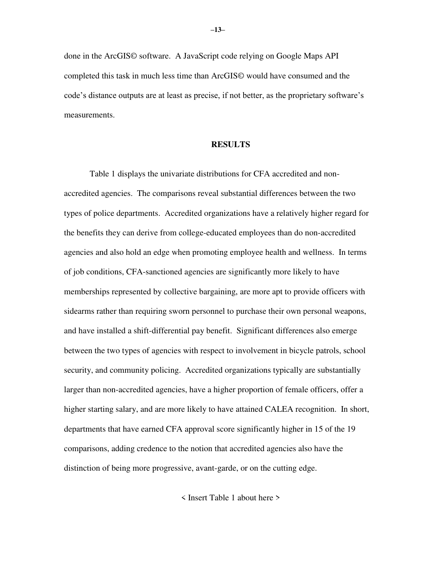done in the ArcGIS© software. A JavaScript code relying on Google Maps API completed this task in much less time than ArcGIS© would have consumed and the code's distance outputs are at least as precise, if not better, as the proprietary software's measurements.

#### **RESULTS**

 Table 1 displays the univariate distributions for CFA accredited and nonaccredited agencies. The comparisons reveal substantial differences between the two types of police departments. Accredited organizations have a relatively higher regard for the benefits they can derive from college-educated employees than do non-accredited agencies and also hold an edge when promoting employee health and wellness. In terms of job conditions, CFA-sanctioned agencies are significantly more likely to have memberships represented by collective bargaining, are more apt to provide officers with sidearms rather than requiring sworn personnel to purchase their own personal weapons, and have installed a shift-differential pay benefit. Significant differences also emerge between the two types of agencies with respect to involvement in bicycle patrols, school security, and community policing. Accredited organizations typically are substantially larger than non-accredited agencies, have a higher proportion of female officers, offer a higher starting salary, and are more likely to have attained CALEA recognition. In short, departments that have earned CFA approval score significantly higher in 15 of the 19 comparisons, adding credence to the notion that accredited agencies also have the distinction of being more progressive, avant-garde, or on the cutting edge.

< Insert Table 1 about here >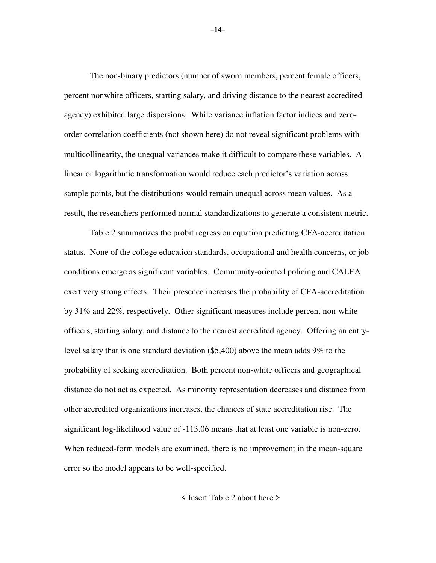The non-binary predictors (number of sworn members, percent female officers, percent nonwhite officers, starting salary, and driving distance to the nearest accredited agency) exhibited large dispersions. While variance inflation factor indices and zeroorder correlation coefficients (not shown here) do not reveal significant problems with multicollinearity, the unequal variances make it difficult to compare these variables. A linear or logarithmic transformation would reduce each predictor's variation across sample points, but the distributions would remain unequal across mean values. As a result, the researchers performed normal standardizations to generate a consistent metric.

 Table 2 summarizes the probit regression equation predicting CFA-accreditation status. None of the college education standards, occupational and health concerns, or job conditions emerge as significant variables. Community-oriented policing and CALEA exert very strong effects. Their presence increases the probability of CFA-accreditation by 31% and 22%, respectively. Other significant measures include percent non-white officers, starting salary, and distance to the nearest accredited agency. Offering an entrylevel salary that is one standard deviation (\$5,400) above the mean adds 9% to the probability of seeking accreditation. Both percent non-white officers and geographical distance do not act as expected. As minority representation decreases and distance from other accredited organizations increases, the chances of state accreditation rise. The significant log-likelihood value of -113.06 means that at least one variable is non-zero. When reduced-form models are examined, there is no improvement in the mean-square error so the model appears to be well-specified.

< Insert Table 2 about here >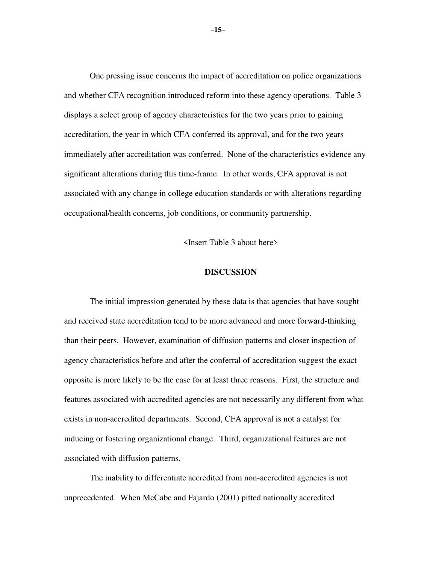One pressing issue concerns the impact of accreditation on police organizations and whether CFA recognition introduced reform into these agency operations. Table 3 displays a select group of agency characteristics for the two years prior to gaining accreditation, the year in which CFA conferred its approval, and for the two years immediately after accreditation was conferred. None of the characteristics evidence any significant alterations during this time-frame. In other words, CFA approval is not associated with any change in college education standards or with alterations regarding occupational/health concerns, job conditions, or community partnership.

<Insert Table 3 about here>

#### **DISCUSSION**

 The initial impression generated by these data is that agencies that have sought and received state accreditation tend to be more advanced and more forward-thinking than their peers. However, examination of diffusion patterns and closer inspection of agency characteristics before and after the conferral of accreditation suggest the exact opposite is more likely to be the case for at least three reasons. First, the structure and features associated with accredited agencies are not necessarily any different from what exists in non-accredited departments. Second, CFA approval is not a catalyst for inducing or fostering organizational change. Third, organizational features are not associated with diffusion patterns.

 The inability to differentiate accredited from non-accredited agencies is not unprecedented. When McCabe and Fajardo (2001) pitted nationally accredited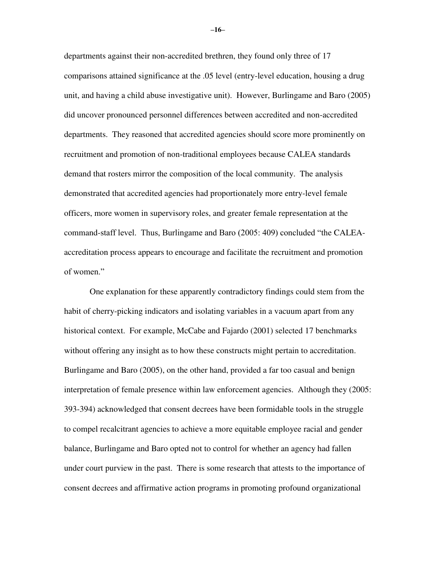departments against their non-accredited brethren, they found only three of 17 comparisons attained significance at the .05 level (entry-level education, housing a drug unit, and having a child abuse investigative unit). However, Burlingame and Baro (2005) did uncover pronounced personnel differences between accredited and non-accredited departments. They reasoned that accredited agencies should score more prominently on recruitment and promotion of non-traditional employees because CALEA standards demand that rosters mirror the composition of the local community. The analysis demonstrated that accredited agencies had proportionately more entry-level female officers, more women in supervisory roles, and greater female representation at the command-staff level. Thus, Burlingame and Baro (2005: 409) concluded "the CALEAaccreditation process appears to encourage and facilitate the recruitment and promotion of women."

 One explanation for these apparently contradictory findings could stem from the habit of cherry-picking indicators and isolating variables in a vacuum apart from any historical context. For example, McCabe and Fajardo (2001) selected 17 benchmarks without offering any insight as to how these constructs might pertain to accreditation. Burlingame and Baro (2005), on the other hand, provided a far too casual and benign interpretation of female presence within law enforcement agencies. Although they (2005: 393-394) acknowledged that consent decrees have been formidable tools in the struggle to compel recalcitrant agencies to achieve a more equitable employee racial and gender balance, Burlingame and Baro opted not to control for whether an agency had fallen under court purview in the past. There is some research that attests to the importance of consent decrees and affirmative action programs in promoting profound organizational

**–16–**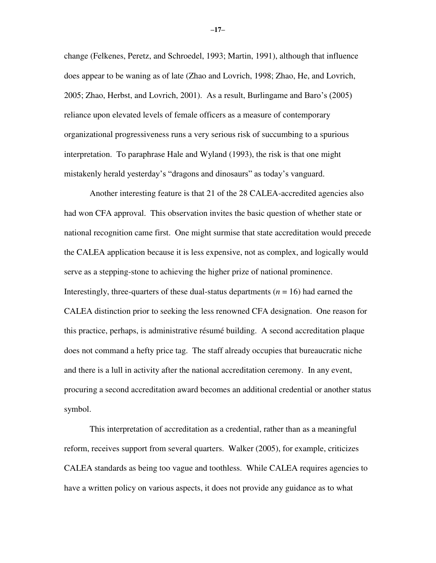change (Felkenes, Peretz, and Schroedel, 1993; Martin, 1991), although that influence does appear to be waning as of late (Zhao and Lovrich, 1998; Zhao, He, and Lovrich, 2005; Zhao, Herbst, and Lovrich, 2001). As a result, Burlingame and Baro's (2005) reliance upon elevated levels of female officers as a measure of contemporary organizational progressiveness runs a very serious risk of succumbing to a spurious interpretation. To paraphrase Hale and Wyland (1993), the risk is that one might mistakenly herald yesterday's "dragons and dinosaurs" as today's vanguard.

 Another interesting feature is that 21 of the 28 CALEA-accredited agencies also had won CFA approval. This observation invites the basic question of whether state or national recognition came first. One might surmise that state accreditation would precede the CALEA application because it is less expensive, not as complex, and logically would serve as a stepping-stone to achieving the higher prize of national prominence. Interestingly, three-quarters of these dual-status departments  $(n = 16)$  had earned the CALEA distinction prior to seeking the less renowned CFA designation. One reason for this practice, perhaps, is administrative résumé building. A second accreditation plaque does not command a hefty price tag. The staff already occupies that bureaucratic niche and there is a lull in activity after the national accreditation ceremony. In any event, procuring a second accreditation award becomes an additional credential or another status symbol.

This interpretation of accreditation as a credential, rather than as a meaningful reform, receives support from several quarters. Walker (2005), for example, criticizes CALEA standards as being too vague and toothless. While CALEA requires agencies to have a written policy on various aspects, it does not provide any guidance as to what

**–17–**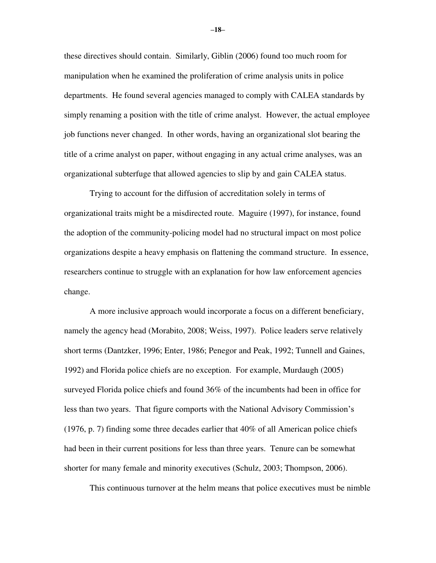these directives should contain. Similarly, Giblin (2006) found too much room for manipulation when he examined the proliferation of crime analysis units in police departments. He found several agencies managed to comply with CALEA standards by simply renaming a position with the title of crime analyst. However, the actual employee job functions never changed. In other words, having an organizational slot bearing the title of a crime analyst on paper, without engaging in any actual crime analyses, was an organizational subterfuge that allowed agencies to slip by and gain CALEA status.

 Trying to account for the diffusion of accreditation solely in terms of organizational traits might be a misdirected route. Maguire (1997), for instance, found the adoption of the community-policing model had no structural impact on most police organizations despite a heavy emphasis on flattening the command structure. In essence, researchers continue to struggle with an explanation for how law enforcement agencies change.

A more inclusive approach would incorporate a focus on a different beneficiary, namely the agency head (Morabito, 2008; Weiss, 1997). Police leaders serve relatively short terms (Dantzker, 1996; Enter, 1986; Penegor and Peak, 1992; Tunnell and Gaines, 1992) and Florida police chiefs are no exception. For example, Murdaugh (2005) surveyed Florida police chiefs and found 36% of the incumbents had been in office for less than two years. That figure comports with the National Advisory Commission's (1976, p. 7) finding some three decades earlier that 40% of all American police chiefs had been in their current positions for less than three years. Tenure can be somewhat shorter for many female and minority executives (Schulz, 2003; Thompson, 2006).

This continuous turnover at the helm means that police executives must be nimble

**–18–**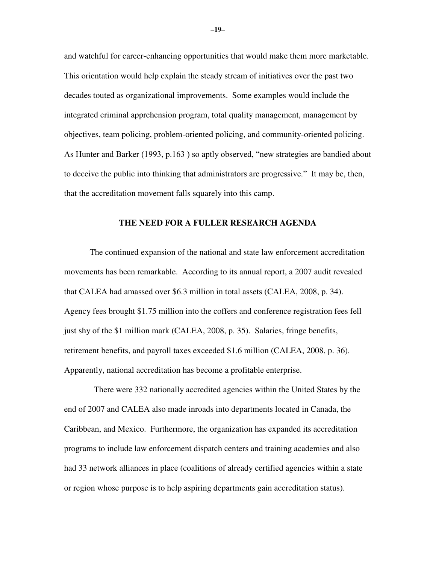and watchful for career-enhancing opportunities that would make them more marketable. This orientation would help explain the steady stream of initiatives over the past two decades touted as organizational improvements. Some examples would include the integrated criminal apprehension program, total quality management, management by objectives, team policing, problem-oriented policing, and community-oriented policing. As Hunter and Barker (1993, p.163 ) so aptly observed, "new strategies are bandied about to deceive the public into thinking that administrators are progressive." It may be, then, that the accreditation movement falls squarely into this camp.

#### **THE NEED FOR A FULLER RESEARCH AGENDA**

The continued expansion of the national and state law enforcement accreditation movements has been remarkable. According to its annual report, a 2007 audit revealed that CALEA had amassed over \$6.3 million in total assets (CALEA, 2008, p. 34). Agency fees brought \$1.75 million into the coffers and conference registration fees fell just shy of the \$1 million mark (CALEA, 2008, p. 35). Salaries, fringe benefits, retirement benefits, and payroll taxes exceeded \$1.6 million (CALEA, 2008, p. 36). Apparently, national accreditation has become a profitable enterprise.

 There were 332 nationally accredited agencies within the United States by the end of 2007 and CALEA also made inroads into departments located in Canada, the Caribbean, and Mexico. Furthermore, the organization has expanded its accreditation programs to include law enforcement dispatch centers and training academies and also had 33 network alliances in place (coalitions of already certified agencies within a state or region whose purpose is to help aspiring departments gain accreditation status).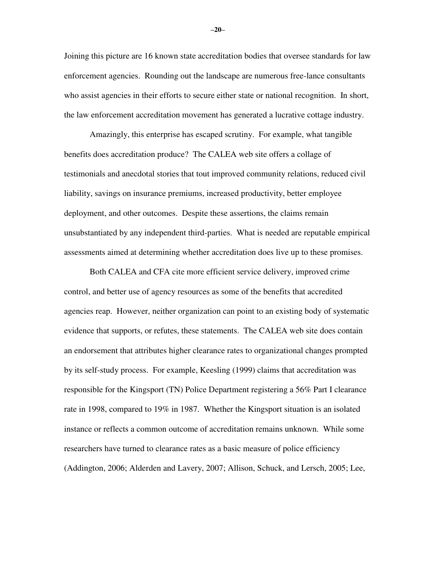Joining this picture are 16 known state accreditation bodies that oversee standards for law enforcement agencies. Rounding out the landscape are numerous free-lance consultants who assist agencies in their efforts to secure either state or national recognition. In short, the law enforcement accreditation movement has generated a lucrative cottage industry.

Amazingly, this enterprise has escaped scrutiny. For example, what tangible benefits does accreditation produce? The CALEA web site offers a collage of testimonials and anecdotal stories that tout improved community relations, reduced civil liability, savings on insurance premiums, increased productivity, better employee deployment, and other outcomes. Despite these assertions, the claims remain unsubstantiated by any independent third-parties. What is needed are reputable empirical assessments aimed at determining whether accreditation does live up to these promises.

Both CALEA and CFA cite more efficient service delivery, improved crime control, and better use of agency resources as some of the benefits that accredited agencies reap. However, neither organization can point to an existing body of systematic evidence that supports, or refutes, these statements. The CALEA web site does contain an endorsement that attributes higher clearance rates to organizational changes prompted by its self-study process. For example, Keesling (1999) claims that accreditation was responsible for the Kingsport (TN) Police Department registering a 56% Part I clearance rate in 1998, compared to 19% in 1987. Whether the Kingsport situation is an isolated instance or reflects a common outcome of accreditation remains unknown. While some researchers have turned to clearance rates as a basic measure of police efficiency (Addington, 2006; Alderden and Lavery, 2007; Allison, Schuck, and Lersch, 2005; Lee,

**–20–**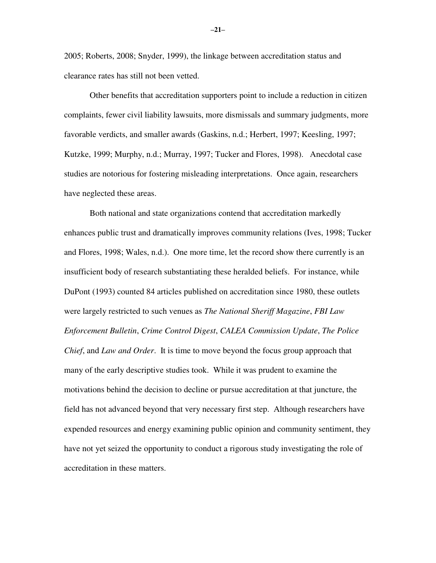2005; Roberts, 2008; Snyder, 1999), the linkage between accreditation status and clearance rates has still not been vetted.

Other benefits that accreditation supporters point to include a reduction in citizen complaints, fewer civil liability lawsuits, more dismissals and summary judgments, more favorable verdicts, and smaller awards (Gaskins, n.d.; Herbert, 1997; Keesling, 1997; Kutzke, 1999; Murphy, n.d.; Murray, 1997; Tucker and Flores, 1998). Anecdotal case studies are notorious for fostering misleading interpretations. Once again, researchers have neglected these areas.

Both national and state organizations contend that accreditation markedly enhances public trust and dramatically improves community relations (Ives, 1998; Tucker and Flores, 1998; Wales, n.d.). One more time, let the record show there currently is an insufficient body of research substantiating these heralded beliefs. For instance, while DuPont (1993) counted 84 articles published on accreditation since 1980, these outlets were largely restricted to such venues as *The National Sheriff Magazine*, *FBI Law Enforcement Bulletin*, *Crime Control Digest*, *CALEA Commission Update*, *The Police Chief*, and *Law and Order*. It is time to move beyond the focus group approach that many of the early descriptive studies took. While it was prudent to examine the motivations behind the decision to decline or pursue accreditation at that juncture, the field has not advanced beyond that very necessary first step. Although researchers have expended resources and energy examining public opinion and community sentiment, they have not yet seized the opportunity to conduct a rigorous study investigating the role of accreditation in these matters.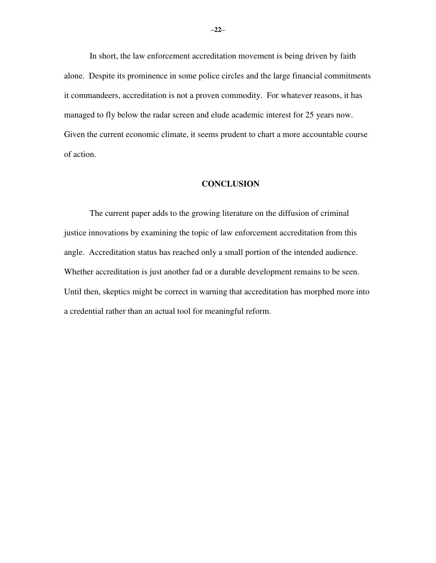In short, the law enforcement accreditation movement is being driven by faith alone. Despite its prominence in some police circles and the large financial commitments it commandeers, accreditation is not a proven commodity. For whatever reasons, it has managed to fly below the radar screen and elude academic interest for 25 years now. Given the current economic climate, it seems prudent to chart a more accountable course of action.

#### **CONCLUSION**

 The current paper adds to the growing literature on the diffusion of criminal justice innovations by examining the topic of law enforcement accreditation from this angle. Accreditation status has reached only a small portion of the intended audience. Whether accreditation is just another fad or a durable development remains to be seen. Until then, skeptics might be correct in warning that accreditation has morphed more into a credential rather than an actual tool for meaningful reform.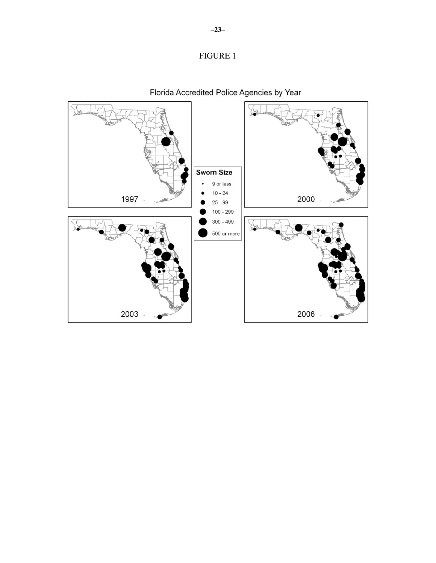



Florida Accredited Police Agencies by Year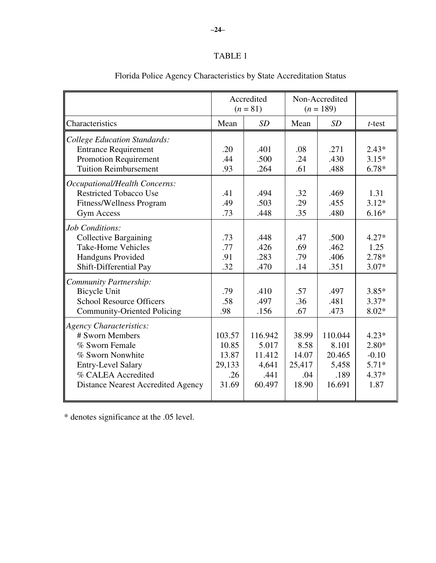# TABLE 1

|                                                                                                                                                                                                      |                                                    | Accredited<br>$(n = 81)$                              | Non-Accredited<br>$(n = 189)$                    |                                                       |                                                             |
|------------------------------------------------------------------------------------------------------------------------------------------------------------------------------------------------------|----------------------------------------------------|-------------------------------------------------------|--------------------------------------------------|-------------------------------------------------------|-------------------------------------------------------------|
| Characteristics                                                                                                                                                                                      | Mean                                               | SD                                                    | Mean                                             | SD                                                    | $t$ -test                                                   |
| <b>College Education Standards:</b><br><b>Entrance Requirement</b><br><b>Promotion Requirement</b><br><b>Tuition Reimbursement</b><br>Occupational/Health Concerns:<br><b>Restricted Tobacco Use</b> | .20<br>.44<br>.93<br>.41                           | .401<br>.500<br>.264<br>.494                          | .08<br>.24<br>.61<br>.32                         | .271<br>.430<br>.488<br>.469                          | $2.43*$<br>$3.15*$<br>$6.78*$<br>1.31                       |
| <b>Fitness/Wellness Program</b><br><b>Gym Access</b>                                                                                                                                                 | .49<br>.73                                         | .503<br>.448                                          | .29<br>.35                                       | .455<br>.480                                          | $3.12*$<br>$6.16*$                                          |
| Job Conditions:<br><b>Collective Bargaining</b><br><b>Take-Home Vehicles</b><br><b>Handguns Provided</b><br>Shift-Differential Pay                                                                   | .73<br>.77<br>.91<br>.32                           | .448<br>.426<br>.283<br>.470                          | .47<br>.69<br>.79<br>.14                         | .500<br>.462<br>.406<br>.351                          | $4.27*$<br>1.25<br>$2.78*$<br>$3.07*$                       |
| <b>Community Partnership:</b><br><b>Bicycle Unit</b><br><b>School Resource Officers</b><br><b>Community-Oriented Policing</b>                                                                        | .79<br>.58<br>.98                                  | .410<br>.497<br>.156                                  | .57<br>.36<br>.67                                | .497<br>.481<br>.473                                  | $3.85*$<br>$3.37*$<br>$8.02*$                               |
| Agency Characteristics:<br># Sworn Members<br>% Sworn Female<br>% Sworn Nonwhite<br><b>Entry-Level Salary</b><br>% CALEA Accredited<br><b>Distance Nearest Accredited Agency</b>                     | 103.57<br>10.85<br>13.87<br>29,133<br>.26<br>31.69 | 116.942<br>5.017<br>11.412<br>4,641<br>.441<br>60.497 | 38.99<br>8.58<br>14.07<br>25,417<br>.04<br>18.90 | 110.044<br>8.101<br>20.465<br>5,458<br>.189<br>16.691 | $4.23*$<br>$2.80*$<br>$-0.10$<br>$5.71*$<br>$4.37*$<br>1.87 |

# Florida Police Agency Characteristics by State Accreditation Status

\* denotes significance at the .05 level.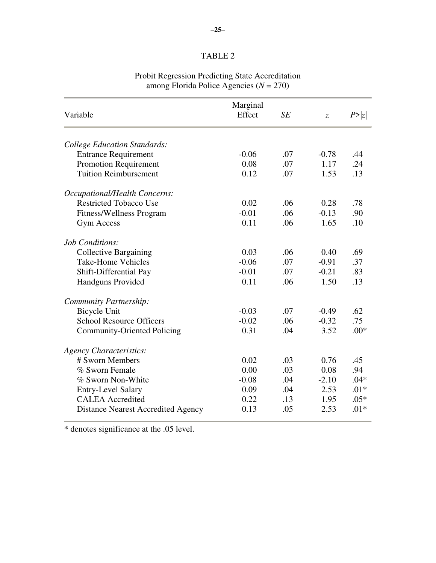# TABLE 2

|                                           | Marginal |     |                               |        |  |
|-------------------------------------------|----------|-----|-------------------------------|--------|--|
| Variable                                  | Effect   | SE  | $\ensuremath{\mathnormal{Z}}$ | P >  z |  |
| <b>College Education Standards:</b>       |          |     |                               |        |  |
| <b>Entrance Requirement</b>               | $-0.06$  | .07 | $-0.78$                       | .44    |  |
| Promotion Requirement                     | 0.08     | .07 | 1.17                          | .24    |  |
| <b>Tuition Reimbursement</b>              | 0.12     | .07 | 1.53                          | .13    |  |
| Occupational/Health Concerns:             |          |     |                               |        |  |
| <b>Restricted Tobacco Use</b>             | 0.02     | .06 | 0.28                          | .78    |  |
| <b>Fitness/Wellness Program</b>           | $-0.01$  | .06 | $-0.13$                       | .90    |  |
| <b>Gym Access</b>                         | 0.11     | .06 | 1.65                          | .10    |  |
| Job Conditions:                           |          |     |                               |        |  |
| <b>Collective Bargaining</b>              | 0.03     | .06 | 0.40                          | .69    |  |
| <b>Take-Home Vehicles</b>                 | $-0.06$  | .07 | $-0.91$                       | .37    |  |
| Shift-Differential Pay                    | $-0.01$  | .07 | $-0.21$                       | .83    |  |
| <b>Handguns Provided</b>                  | 0.11     | .06 | 1.50                          | .13    |  |
| <b>Community Partnership:</b>             |          |     |                               |        |  |
| <b>Bicycle Unit</b>                       | $-0.03$  | .07 | $-0.49$                       | .62    |  |
| <b>School Resource Officers</b>           | $-0.02$  | .06 | $-0.32$                       | .75    |  |
| <b>Community-Oriented Policing</b>        | 0.31     | .04 | 3.52                          | $.00*$ |  |
| <b>Agency Characteristics:</b>            |          |     |                               |        |  |
| # Sworn Members                           | 0.02     | .03 | 0.76                          | .45    |  |
| % Sworn Female                            | 0.00     | .03 | 0.08                          | .94    |  |
| % Sworn Non-White                         | $-0.08$  | .04 | $-2.10$                       | $.04*$ |  |
| <b>Entry-Level Salary</b>                 | 0.09     | .04 | 2.53                          | $.01*$ |  |
| <b>CALEA</b> Accredited                   | 0.22     | .13 | 1.95                          | $.05*$ |  |
| <b>Distance Nearest Accredited Agency</b> | 0.13     | .05 | 2.53                          | $.01*$ |  |
|                                           |          |     |                               |        |  |

#### Probit Regression Predicting State Accreditation among Florida Police Agencies (*N* = 270)

\* denotes significance at the .05 level.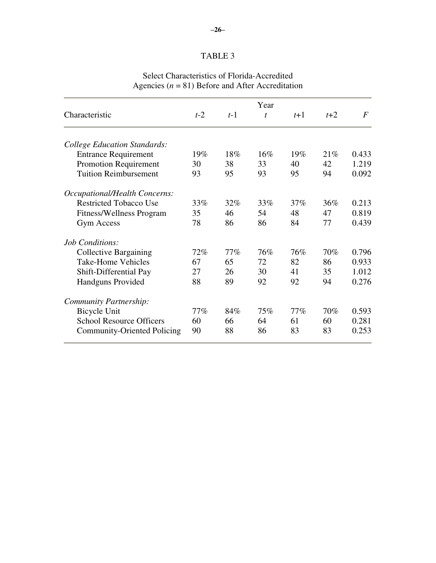## TABLE 3

# Select Characteristics of Florida-Accredited Agencies  $(n = 81)$  Before and After Accreditation

|                                     | Year  |       |              |       |       |                  |
|-------------------------------------|-------|-------|--------------|-------|-------|------------------|
| Characteristic                      | $t-2$ | $t-1$ | $\mathbf{t}$ | $t+1$ | $t+2$ | $\boldsymbol{F}$ |
| <b>College Education Standards:</b> |       |       |              |       |       |                  |
| <b>Entrance Requirement</b>         | 19%   | 18%   | $16\%$       | 19%   | 21%   | 0.433            |
| Promotion Requirement               | 30    | 38    | 33           | 40    | 42    | 1.219            |
| <b>Tuition Reimbursement</b>        | 93    | 95    | 93           | 95    | 94    | 0.092            |
| Occupational/Health Concerns:       |       |       |              |       |       |                  |
| <b>Restricted Tobacco Use</b>       | 33%   | 32%   | 33%          | 37%   | 36%   | 0.213            |
| <b>Fitness/Wellness Program</b>     | 35    | 46    | 54           | 48    | 47    | 0.819            |
| Gym Access                          | 78    | 86    | 86           | 84    | 77    | 0.439            |
| Job Conditions:                     |       |       |              |       |       |                  |
| <b>Collective Bargaining</b>        | 72%   | 77%   | 76%          | 76%   | 70%   | 0.796            |
| Take-Home Vehicles                  | 67    | 65    | 72           | 82    | 86    | 0.933            |
| Shift-Differential Pay              | 27    | 26    | 30           | 41    | 35    | 1.012            |
| <b>Handguns Provided</b>            | 88    | 89    | 92           | 92    | 94    | 0.276            |
| Community Partnership:              |       |       |              |       |       |                  |
| Bicycle Unit                        | 77%   | 84%   | 75%          | 77%   | 70%   | 0.593            |
| <b>School Resource Officers</b>     | 60    | 66    | 64           | 61    | 60    | 0.281            |
| <b>Community-Oriented Policing</b>  | 90    | 88    | 86           | 83    | 83    | 0.253            |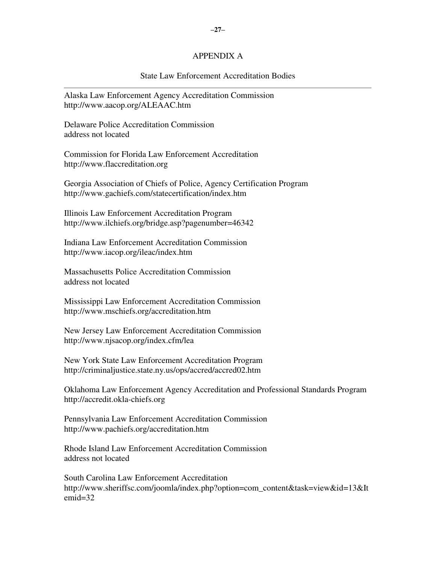#### APPENDIX A

#### State Law Enforcement Accreditation Bodies

Alaska Law Enforcement Agency Accreditation Commission http://www.aacop.org/ALEAAC.htm

Delaware Police Accreditation Commission address not located

Commission for Florida Law Enforcement Accreditation http://www.flaccreditation.org

Georgia Association of Chiefs of Police, Agency Certification Program http://www.gachiefs.com/statecertification/index.htm

Illinois Law Enforcement Accreditation Program http://www.ilchiefs.org/bridge.asp?pagenumber=46342

Indiana Law Enforcement Accreditation Commission http://www.iacop.org/ileac/index.htm

Massachusetts Police Accreditation Commission address not located

Mississippi Law Enforcement Accreditation Commission http://www.mschiefs.org/accreditation.htm

New Jersey Law Enforcement Accreditation Commission http://www.njsacop.org/index.cfm/lea

New York State Law Enforcement Accreditation Program http://criminaljustice.state.ny.us/ops/accred/accred02.htm

Oklahoma Law Enforcement Agency Accreditation and Professional Standards Program http://accredit.okla-chiefs.org

Pennsylvania Law Enforcement Accreditation Commission http://www.pachiefs.org/accreditation.htm

Rhode Island Law Enforcement Accreditation Commission address not located

South Carolina Law Enforcement Accreditation http://www.sheriffsc.com/joomla/index.php?option=com\_content&task=view&id=13&It emid=32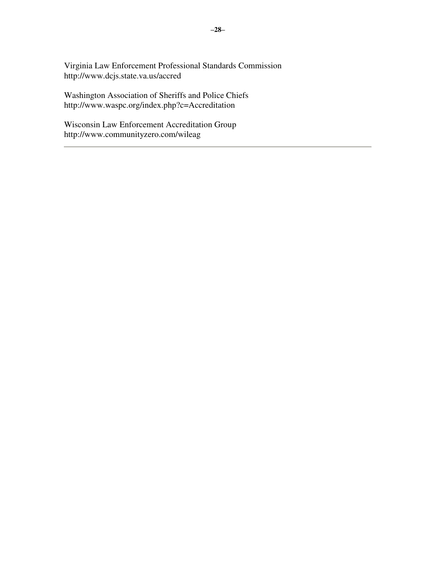Virginia Law Enforcement Professional Standards Commission http://www.dcjs.state.va.us/accred

Washington Association of Sheriffs and Police Chiefs http://www.waspc.org/index.php?c=Accreditation

Wisconsin Law Enforcement Accreditation Group http://www.communityzero.com/wileag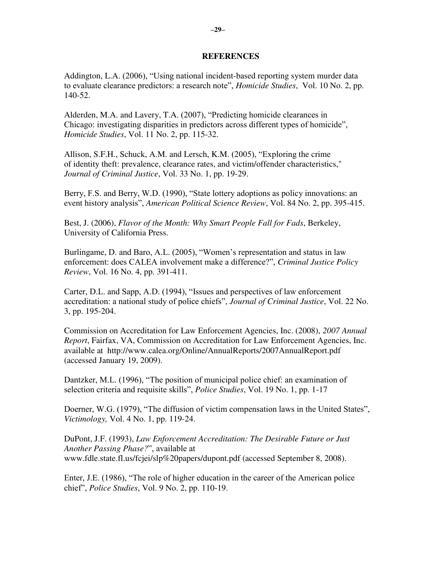#### **REFERENCES**

Addington, L.A. (2006), "Using national incident-based reporting system murder data to evaluate clearance predictors: a research note", *Homicide Studies*, Vol. 10 No. 2, pp. 140-52.

Alderden, M.A. and Lavery, T.A. (2007), "Predicting homicide clearances in Chicago: investigating disparities in predictors across different types of homicide", *Homicide Studies*, Vol. 11 No. 2, pp. 115-32.

Allison, S.F.H., Schuck, A.M. and Lersch, K.M. (2005), "Exploring the crime of identity theft: prevalence, clearance rates, and victim/offender characteristics," *Journal of Criminal Justice*, Vol. 33 No. 1, pp. 19-29.

Berry, F.S. and Berry, W.D. (1990), "State lottery adoptions as policy innovations: an event history analysis", *American Political Science Review*, Vol. 84 No. 2, pp. 395-415.

Best, J. (2006), *Flavor of the Month: Why Smart People Fall for Fads*, Berkeley, University of California Press.

Burlingame, D. and Baro, A.L. (2005), "Women's representation and status in law enforcement: does CALEA involvement make a difference?", *Criminal Justice Policy Review*, Vol. 16 No. 4, pp. 391-411.

Carter, D.L. and Sapp, A.D. (1994), "Issues and perspectives of law enforcement accreditation: a national study of police chiefs", *Journal of Criminal Justice*, Vol. 22 No. 3, pp. 195-204.

Commission on Accreditation for Law Enforcement Agencies, Inc. (2008), *2007 Annual Report*, Fairfax, VA, Commission on Accreditation for Law Enforcement Agencies, Inc. available at http://www.calea.org/Online/AnnualReports/2007AnnualReport.pdf (accessed January 19, 2009).

Dantzker, M.L. (1996), "The position of municipal police chief: an examination of selection criteria and requisite skills", *Police Studies*, Vol. 19 No. 1, pp. 1-17

Doerner, W.G. (1979), "The diffusion of victim compensation laws in the United States", *Victimology,* Vol. 4 No. 1, pp. 119-24.

DuPont, J.F. (1993), *Law Enforcement Accreditation: The Desirable Future or Just Another Passing Phase?*", available at www.fdle.state.fl.us/fcjei/slp%20papers/dupont.pdf (accessed September 8, 2008).

Enter, J.E. (1986), "The role of higher education in the career of the American police chief", *Police Studies*, Vol. 9 No. 2, pp. 110-19.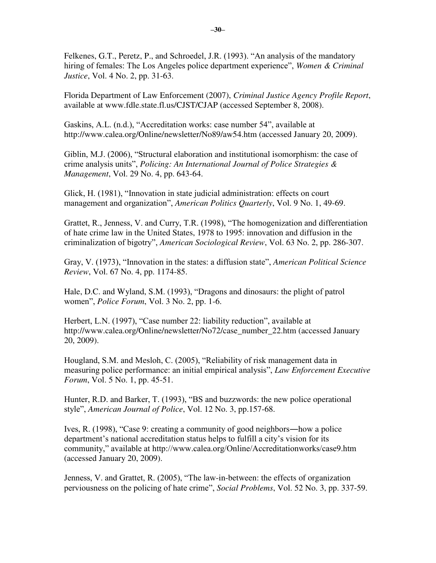Felkenes, G.T., Peretz, P., and Schroedel, J.R. (1993). "An analysis of the mandatory hiring of females: The Los Angeles police department experience", *Women & Criminal Justice*, Vol. 4 No. 2, pp. 31-63.

Florida Department of Law Enforcement (2007), *Criminal Justice Agency Profile Report*, available at www.fdle.state.fl.us/CJST/CJAP (accessed September 8, 2008).

Gaskins, A.L. (n.d.), "Accreditation works: case number 54", available at http://www.calea.org/Online/newsletter/No89/aw54.htm (accessed January 20, 2009).

Giblin, M.J. (2006), "Structural elaboration and institutional isomorphism: the case of crime analysis units", *Policing: An International Journal of Police Strategies & Management*, Vol. 29 No. 4, pp. 643-64.

Glick, H. (1981), "Innovation in state judicial administration: effects on court management and organization", *American Politics Quarterly*, Vol. 9 No. 1, 49-69.

Grattet, R., Jenness, V. and Curry, T.R. (1998), "The homogenization and differentiation of hate crime law in the United States, 1978 to 1995: innovation and diffusion in the criminalization of bigotry", *American Sociological Review*, Vol. 63 No. 2, pp. 286-307.

Gray, V. (1973), "Innovation in the states: a diffusion state", *American Political Science Review*, Vol. 67 No. 4, pp. 1174-85.

Hale, D.C. and Wyland, S.M. (1993), "Dragons and dinosaurs: the plight of patrol women", *Police Forum*, Vol. 3 No. 2, pp. 1-6.

Herbert, L.N. (1997), "Case number 22: liability reduction", available at http://www.calea.org/Online/newsletter/No72/case\_number\_22.htm (accessed January 20, 2009).

Hougland, S.M. and Mesloh, C. (2005), "Reliability of risk management data in measuring police performance: an initial empirical analysis", *Law Enforcement Executive Forum*, Vol. 5 No. 1, pp. 45-51.

Hunter, R.D. and Barker, T. (1993), "BS and buzzwords: the new police operational style", *American Journal of Police*, Vol. 12 No. 3, pp.157-68.

Ives, R. (1998), "Case 9: creating a community of good neighbors―how a police department's national accreditation status helps to fulfill a city's vision for its community," available at http://www.calea.org/Online/Accreditationworks/case9.htm (accessed January 20, 2009).

Jenness, V. and Grattet, R. (2005), "The law-in-between: the effects of organization perviousness on the policing of hate crime", *Social Problems*, Vol. 52 No. 3, pp. 337-59.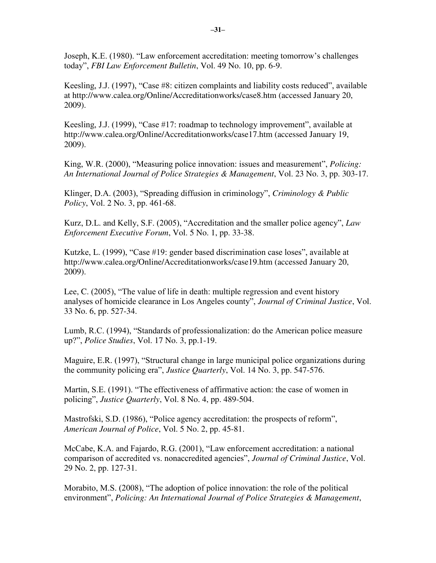Joseph, K.E. (1980). "Law enforcement accreditation: meeting tomorrow's challenges today", *FBI Law Enforcement Bulletin*, Vol. 49 No. 10, pp. 6-9.

Keesling, J.J. (1997), "Case #8: citizen complaints and liability costs reduced", available at http://www.calea.org/Online/Accreditationworks/case8.htm (accessed January 20, 2009).

Keesling, J.J. (1999), "Case #17: roadmap to technology improvement", available at http://www.calea.org/Online/Accreditationworks/case17.htm (accessed January 19, 2009).

King, W.R. (2000), "Measuring police innovation: issues and measurement", *Policing: An International Journal of Police Strategies & Management*, Vol. 23 No. 3, pp. 303-17.

Klinger, D.A. (2003), "Spreading diffusion in criminology", *Criminology & Public Policy*, Vol. 2 No. 3, pp. 461-68.

Kurz, D.L. and Kelly, S.F. (2005), "Accreditation and the smaller police agency", *Law Enforcement Executive Forum*, Vol. 5 No. 1, pp. 33-38.

Kutzke, L. (1999), "Case #19: gender based discrimination case loses", available at http://www.calea.org/Online/Accreditationworks/case19.htm (accessed January 20, 2009).

Lee, C. (2005), "The value of life in death: multiple regression and event history analyses of homicide clearance in Los Angeles county", *Journal of Criminal Justice*, Vol. 33 No. 6, pp. 527-34.

Lumb, R.C. (1994), "Standards of professionalization: do the American police measure up?", *Police Studies*, Vol. 17 No. 3, pp.1-19.

Maguire, E.R. (1997), "Structural change in large municipal police organizations during the community policing era", *Justice Quarterly*, Vol. 14 No. 3, pp. 547-576.

Martin, S.E. (1991). "The effectiveness of affirmative action: the case of women in policing", *Justice Quarterly*, Vol. 8 No. 4, pp. 489-504.

Mastrofski, S.D. (1986), "Police agency accreditation: the prospects of reform", *American Journal of Police*, Vol. 5 No. 2, pp. 45-81.

McCabe, K.A. and Fajardo, R.G. (2001), "Law enforcement accreditation: a national comparison of accredited vs. nonaccredited agencies", *Journal of Criminal Justice*, Vol. 29 No. 2, pp. 127-31.

Morabito, M.S. (2008), "The adoption of police innovation: the role of the political environment", *Policing: An International Journal of Police Strategies & Management*,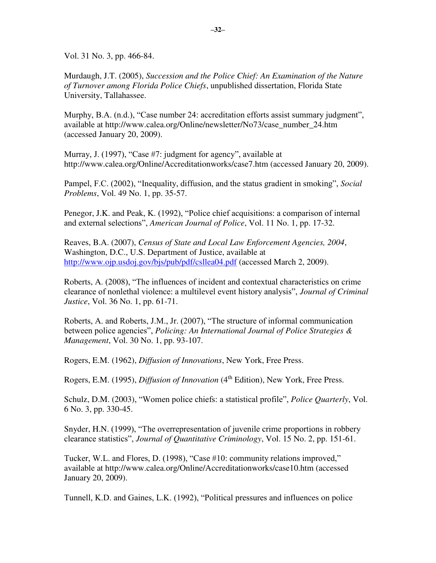Vol. 31 No. 3, pp. 466-84.

Murdaugh, J.T. (2005), *Succession and the Police Chief: An Examination of the Nature of Turnover among Florida Police Chiefs*, unpublished dissertation, Florida State University, Tallahassee.

Murphy, B.A. (n.d.), "Case number 24: accreditation efforts assist summary judgment", available at http://www.calea.org/Online/newsletter/No73/case\_number\_24.htm (accessed January 20, 2009).

Murray, J. (1997), "Case #7: judgment for agency", available at http://www.calea.org/Online/Accreditationworks/case7.htm (accessed January 20, 2009).

Pampel, F.C. (2002), "Inequality, diffusion, and the status gradient in smoking", *Social Problems*, Vol. 49 No. 1, pp. 35-57.

Penegor, J.K. and Peak, K. (1992), "Police chief acquisitions: a comparison of internal and external selections", *American Journal of Police*, Vol. 11 No. 1, pp. 17-32.

Reaves, B.A. (2007), *Census of State and Local Law Enforcement Agencies, 2004*, Washington, D.C., U.S. Department of Justice, available at <http://www.ojp.usdoj.gov/bjs/pub/pdf/csllea04.pdf>(accessed March 2, 2009).

Roberts, A. (2008), "The influences of incident and contextual characteristics on crime clearance of nonlethal violence: a multilevel event history analysis", *Journal of Criminal Justice*, Vol. 36 No. 1, pp. 61-71.

Roberts, A. and Roberts, J.M., Jr. (2007), "The structure of informal communication between police agencies", *Policing: An International Journal of Police Strategies & Management*, Vol. 30 No. 1, pp. 93-107.

Rogers, E.M. (1962), *Diffusion of Innovations*, New York, Free Press.

Rogers, E.M. (1995), *Diffusion of Innovation* (4<sup>th</sup> Edition), New York, Free Press.

Schulz, D.M. (2003), "Women police chiefs: a statistical profile", *Police Quarterly*, Vol. 6 No. 3, pp. 330-45.

Snyder, H.N. (1999), "The overrepresentation of juvenile crime proportions in robbery clearance statistics", *Journal of Quantitative Criminology*, Vol. 15 No. 2, pp. 151-61.

Tucker, W.L. and Flores, D. (1998), "Case #10: community relations improved," available at http://www.calea.org/Online/Accreditationworks/case10.htm (accessed January 20, 2009).

Tunnell, K.D. and Gaines, L.K. (1992), "Political pressures and influences on police